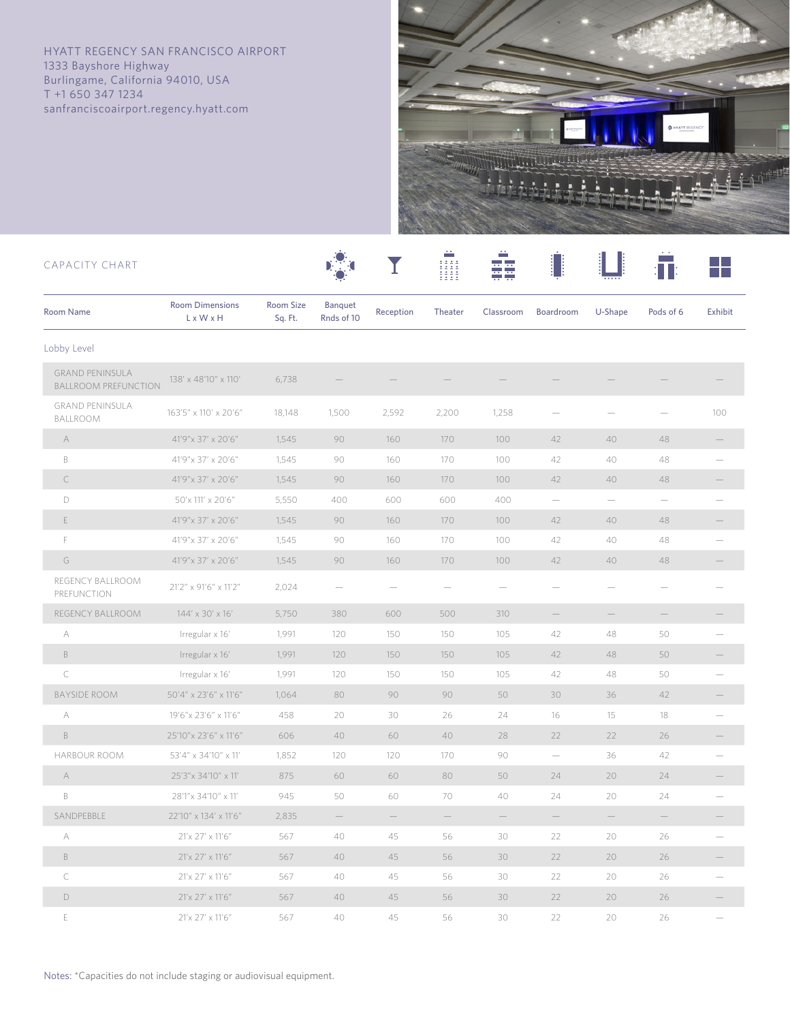HYATT REGENCY SAN FRANCISCO AIRPORT 1333 Bayshore Highway Burlingame, California 94010, USA T +1 650 347 1234 sanfranciscoairport.regency.hyatt.com



| CAPACITY CHART                                        |                                     |                      |                       |           |         |           |           |                                       |                   |                |
|-------------------------------------------------------|-------------------------------------|----------------------|-----------------------|-----------|---------|-----------|-----------|---------------------------------------|-------------------|----------------|
| <b>Room Name</b>                                      | <b>Room Dimensions</b><br>L x W x H | Room Size<br>Sq. Ft. | Banquet<br>Rnds of 10 | Reception | Theater | Classroom | Boardroom | U-Shape                               | Pods of 6         | <b>Exhibit</b> |
| Lobby Level                                           |                                     |                      |                       |           |         |           |           |                                       |                   |                |
| <b>GRAND PENINSULA</b><br><b>BALLROOM PREFUNCTION</b> | 138' x 48'10" x 110'                | 6,738                |                       |           |         |           |           |                                       |                   |                |
| <b>GRAND PENINSULA</b><br>BALLROOM                    | 163'5" x 110' x 20'6"               | 18,148               | 1,500                 | 2,592     | 2,200   | 1,258     |           |                                       |                   | 100            |
| $\forall$                                             | 41'9"x 37' x 20'6"                  | 1,545                | 90                    | 160       | 170     | 100       | 42        | 40                                    | 48                |                |
| B                                                     | 41'9"x 37' x 20'6"                  | 1,545                | 90                    | 160       | 170     | 100       | 42        | 40                                    | 48                |                |
| C                                                     | 41'9" x 37' x 20'6"                 | 1,545                | 90                    | 160       | 170     | 100       | 42        | 40                                    | 48                |                |
| $\mathsf D$                                           | 50'x 111' x 20'6"                   | 5,550                | 400                   | 600       | 600     | 400       |           | $\hspace{1.0cm} \rule{1.5cm}{0.15cm}$ |                   |                |
| E                                                     | 41'9" x 37' x 20'6"                 | 1,545                | 90                    | 160       | 170     | 100       | 42        | 40                                    | 48                |                |
| F                                                     | 41'9"x 37' x 20'6"                  | 1,545                | 90                    | 160       | 170     | 100       | 42        | 40                                    | 48                |                |
| G                                                     | 41'9"x 37' x 20'6"                  | 1,545                | 90                    | 160       | 170     | 100       | 42        | 40                                    | 48                |                |
| REGENCY BALLROOM<br>PREFUNCTION                       | 21'2" x 91'6" x 11'2"               | 2,024                |                       |           |         |           |           |                                       |                   |                |
| REGENCY BALLROOM                                      | 144' x 30' x 16'                    | 5,750                | 380                   | 600       | 500     | 310       |           | $\qquad \qquad -$                     | $\qquad \qquad -$ |                |
| А                                                     | Irregular x 16'                     | 1,991                | 120                   | 150       | 150     | 105       | 42        | 48                                    | 50                |                |
| $\mathbb B$                                           | Irregular x 16'                     | 1,991                | 120                   | 150       | 150     | 105       | 42        | 48                                    | 50                |                |
| $\mathsf{C}$                                          | Irregular x 16'                     | 1,991                | 120                   | 150       | 150     | 105       | 42        | 48                                    | 50                |                |
| <b>BAYSIDE ROOM</b>                                   | 50'4" x 23'6" x 11'6"               | 1,064                | 80                    | 90        | 90      | 50        | 30        | 36                                    | 42                |                |
| А                                                     | 19'6"x 23'6" x 11'6"                | 458                  | 20                    | 30        | 26      | 24        | 16        | 15                                    | 18                |                |
| $\,$ B                                                | 25'10"x 23'6" x 11'6"               | 606                  | 40                    | 60        | 40      | 28        | 22        | 22                                    | 26                |                |
| HARBOUR ROOM                                          | 53'4" x 34'10" x 11'                | 1,852                | 120                   | 120       | 170     | 90        |           | 36                                    | 42                |                |
| A                                                     | 25'3"x 34'10" x 11'                 | 875                  | 60                    | 60        | 80      | 50        | 24        | 20                                    | 24                |                |
| $\mathsf B$                                           | 28'1"x 34'10" x 11'                 | 945                  | 50                    | 60        | 70      | 40        | 24        | 20                                    | 24                |                |
| SANDPEBBLE                                            | 22'10" x 134' x 11'6"               | 2,835                |                       |           |         |           |           |                                       |                   |                |
| А                                                     | 21'x 27' x 11'6"                    | 567                  | 40                    | 45        | 56      | 30        | 22        | 20                                    | 26                |                |
| $\mathbb B$                                           | 21'x 27' x 11'6"                    | 567                  | 40                    | 45        | 56      | 30        | 22        | 20                                    | 26                |                |
| $\subset$                                             | 21'x 27' x 11'6"                    | 567                  | 40                    | 45        | 56      | 30        | 22        | 20                                    | 26                |                |
| $\mathsf D$                                           | 21'x 27' x 11'6"                    | 567                  | 40                    | 45        | 56      | 30        | 22        | 20                                    | 26                |                |

 E 21'x 27' x 11'6" 567 40 45 56 30 22 20 26 —